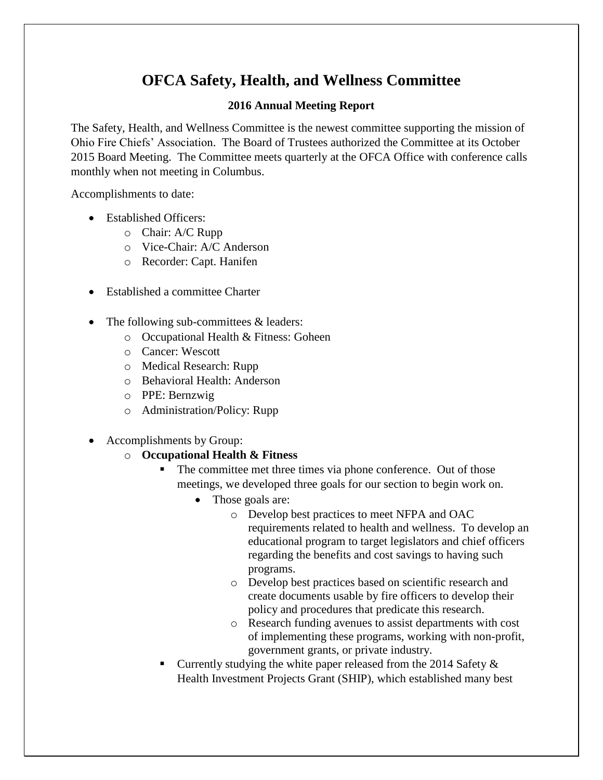# **OFCA Safety, Health, and Wellness Committee**

#### **2016 Annual Meeting Report**

The Safety, Health, and Wellness Committee is the newest committee supporting the mission of Ohio Fire Chiefs' Association. The Board of Trustees authorized the Committee at its October 2015 Board Meeting. The Committee meets quarterly at the OFCA Office with conference calls monthly when not meeting in Columbus.

Accomplishments to date:

- Established Officers:
	- o Chair: A/C Rupp
	- o Vice-Chair: A/C Anderson
	- o Recorder: Capt. Hanifen
- Established a committee Charter
- The following sub-committees & leaders:
	- o Occupational Health & Fitness: Goheen
	- o Cancer: Wescott
	- o Medical Research: Rupp
	- o Behavioral Health: Anderson
	- o PPE: Bernzwig
	- o Administration/Policy: Rupp
- Accomplishments by Group:
	- o **Occupational Health & Fitness**
		- The committee met three times via phone conference. Out of those meetings, we developed three goals for our section to begin work on.
			- Those goals are:
				- o Develop best practices to meet NFPA and OAC requirements related to health and wellness. To develop an educational program to target legislators and chief officers regarding the benefits and cost savings to having such programs.
				- o Develop best practices based on scientific research and create documents usable by fire officers to develop their policy and procedures that predicate this research.
				- o Research funding avenues to assist departments with cost of implementing these programs, working with non-profit, government grants, or private industry.
		- Currently studying the white paper released from the 2014 Safety & Health Investment Projects Grant (SHIP), which established many best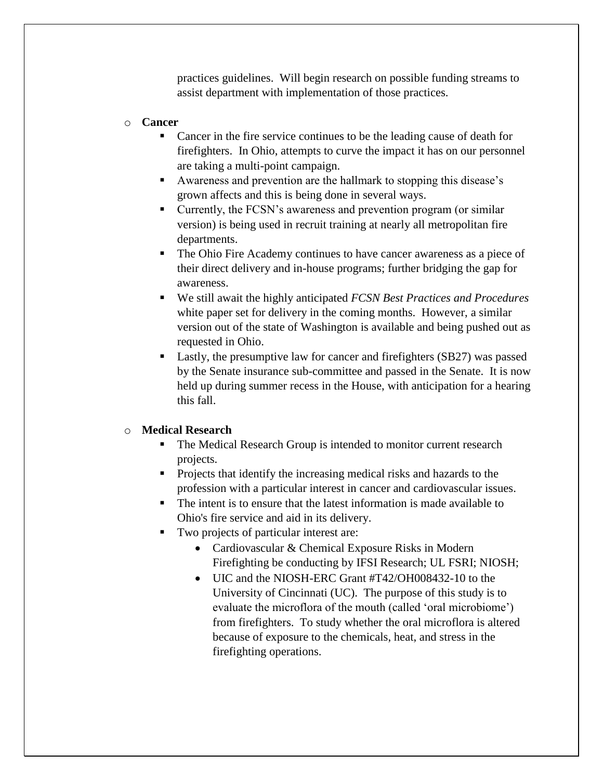practices guidelines. Will begin research on possible funding streams to assist department with implementation of those practices.

#### o **Cancer**

- Cancer in the fire service continues to be the leading cause of death for firefighters. In Ohio, attempts to curve the impact it has on our personnel are taking a multi-point campaign.
- Awareness and prevention are the hallmark to stopping this disease's grown affects and this is being done in several ways.
- Currently, the FCSN's awareness and prevention program (or similar version) is being used in recruit training at nearly all metropolitan fire departments.
- The Ohio Fire Academy continues to have cancer awareness as a piece of their direct delivery and in-house programs; further bridging the gap for awareness.
- We still await the highly anticipated *FCSN Best Practices and Procedures* white paper set for delivery in the coming months. However, a similar version out of the state of Washington is available and being pushed out as requested in Ohio.
- **Lastly, the presumptive law for cancer and firefighters (SB27) was passed** by the Senate insurance sub-committee and passed in the Senate. It is now held up during summer recess in the House, with anticipation for a hearing this fall.

#### o **Medical Research**

- The Medical Research Group is intended to monitor current research projects.
- **Projects that identify the increasing medical risks and hazards to the** profession with a particular interest in cancer and cardiovascular issues.
- The intent is to ensure that the latest information is made available to Ohio's fire service and aid in its delivery.
- Two projects of particular interest are:
	- Cardiovascular & Chemical Exposure Risks in Modern Firefighting be conducting by IFSI Research; UL FSRI; NIOSH;
	- UIC and the NIOSH-ERC Grant #T42/OH008432-10 to the University of Cincinnati (UC). The purpose of this study is to evaluate the microflora of the mouth (called 'oral microbiome') from firefighters. To study whether the oral microflora is altered because of exposure to the chemicals, heat, and stress in the firefighting operations.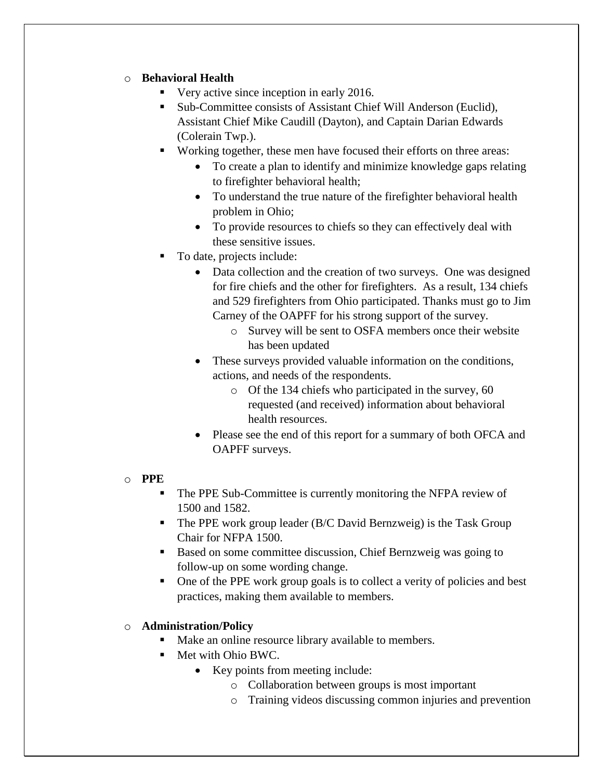#### o **Behavioral Health**

- Very active since inception in early 2016.
- Sub-Committee consists of Assistant Chief Will Anderson (Euclid), Assistant Chief Mike Caudill (Dayton), and Captain Darian Edwards (Colerain Twp.).
- Working together, these men have focused their efforts on three areas:
	- To create a plan to identify and minimize knowledge gaps relating to firefighter behavioral health;
	- To understand the true nature of the firefighter behavioral health problem in Ohio;
	- To provide resources to chiefs so they can effectively deal with these sensitive issues.
- To date, projects include:
	- Data collection and the creation of two surveys. One was designed for fire chiefs and the other for firefighters. As a result, 134 chiefs and 529 firefighters from Ohio participated. Thanks must go to Jim Carney of the OAPFF for his strong support of the survey.
		- o Survey will be sent to OSFA members once their website has been updated
	- These surveys provided valuable information on the conditions, actions, and needs of the respondents.
		- o Of the 134 chiefs who participated in the survey, 60 requested (and received) information about behavioral health resources.
	- Please see the end of this report for a summary of both OFCA and OAPFF surveys.

#### o **PPE**

- The PPE Sub-Committee is currently monitoring the NFPA review of 1500 and 1582.
- The PPE work group leader (B/C David Bernzweig) is the Task Group Chair for NFPA 1500.
- Based on some committee discussion, Chief Bernzweig was going to follow-up on some wording change.
- One of the PPE work group goals is to collect a verity of policies and best practices, making them available to members.

### o **Administration/Policy**

- Make an online resource library available to members.
- Met with Ohio BWC.
	- Key points from meeting include:
		- o Collaboration between groups is most important
		- o Training videos discussing common injuries and prevention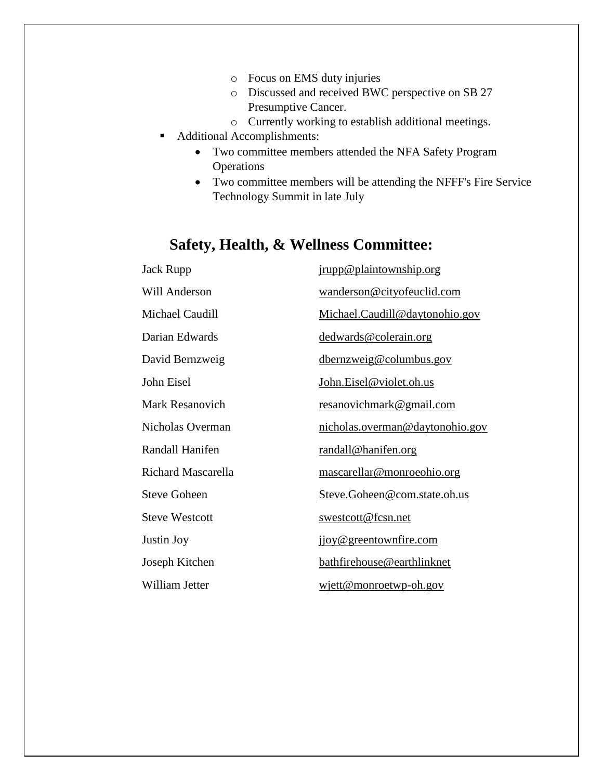- o Focus on EMS duty injuries
- o Discussed and received BWC perspective on SB 27 Presumptive Cancer.
- o Currently working to establish additional meetings.
- Additional Accomplishments:
	- Two committee members attended the NFA Safety Program Operations
	- Two committee members will be attending the NFFF's Fire Service Technology Summit in late July

# **Safety, Health, & Wellness Committee:**

| Jack Rupp              | jrupp@plaintownship.org         |
|------------------------|---------------------------------|
| Will Anderson          | wanderson@cityofeuclid.com      |
| Michael Caudill        | Michael.Caudill@daytonohio.gov  |
| Darian Edwards         | dedwards@colerain.org           |
| David Bernzweig        | dbernzweig@columbus.gov         |
| John Eisel             | John.Eisel@violet.oh.us         |
| <b>Mark Resanovich</b> | <u>resanovichmark@gmail.com</u> |
| Nicholas Overman       | nicholas.overman@daytonohio.gov |
| Randall Hanifen        | <u>randall@hanifen.org</u>      |
| Richard Mascarella     | mascarellar@monroeohio.org      |
| <b>Steve Goheen</b>    | Steve.Goheen@com.state.oh.us    |
| <b>Steve Westcott</b>  | swestcott@fcsn.net              |
| Justin Joy             | jjoy@greentownfire.com          |
| Joseph Kitchen         | bathfirehouse@earthlinknet      |
| William Jetter         | wjett@monroetwp-oh.gov          |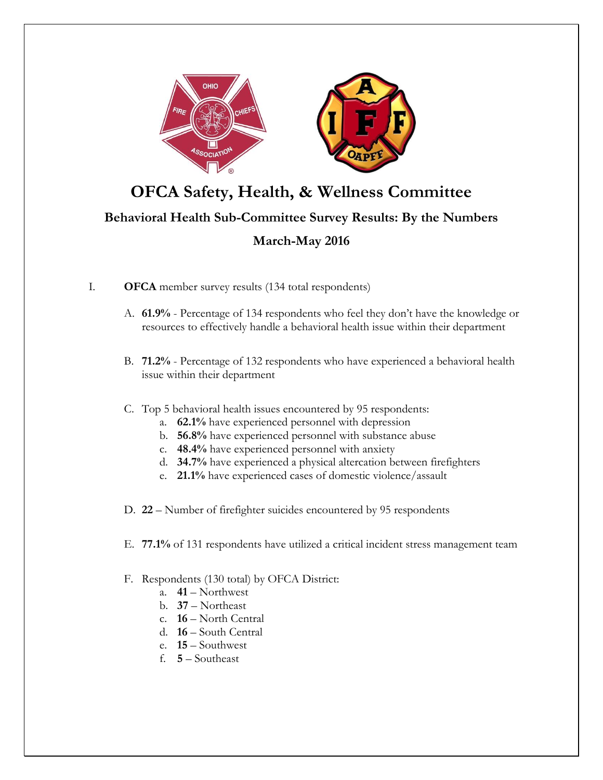

# **OFCA Safety, Health, & Wellness Committee**

## **Behavioral Health Sub-Committee Survey Results: By the Numbers**

## **March-May 2016**

- I. **OFCA** member survey results (134 total respondents)
	- A. **61.9%** Percentage of 134 respondents who feel they don't have the knowledge or resources to effectively handle a behavioral health issue within their department
	- B. **71.2%** Percentage of 132 respondents who have experienced a behavioral health issue within their department
	- C. Top 5 behavioral health issues encountered by 95 respondents:
		- a. **62.1%** have experienced personnel with depression
		- b. **56.8%** have experienced personnel with substance abuse
		- c. **48.4%** have experienced personnel with anxiety
		- d. **34.7%** have experienced a physical altercation between firefighters
		- e. **21.1%** have experienced cases of domestic violence/assault
	- D. **22** Number of firefighter suicides encountered by 95 respondents
	- E. **77.1%** of 131 respondents have utilized a critical incident stress management team

#### F. Respondents (130 total) by OFCA District:

- a. **41** Northwest
- b. **37** Northeast
- c. **16** North Central
- d. **16** South Central
- e. **15** Southwest
- f. **5** Southeast